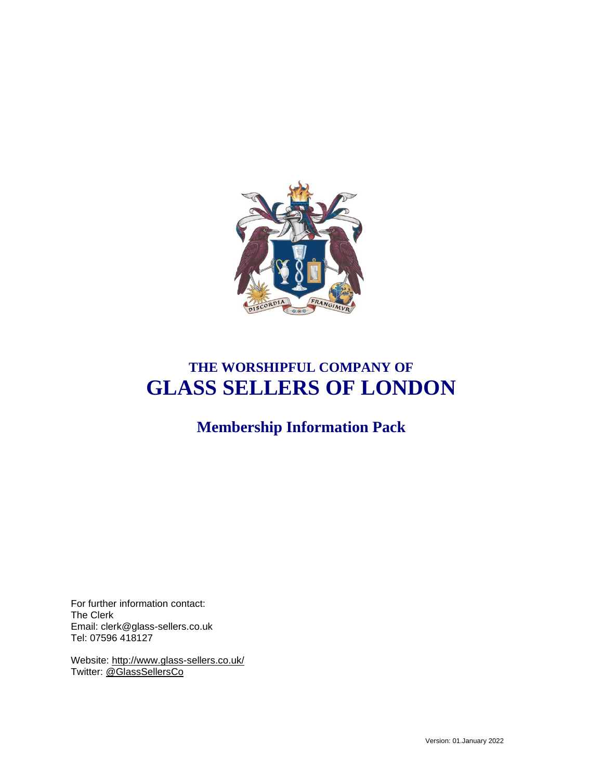

# **THE WORSHIPFUL COMPANY OF GLASS SELLERS OF LONDON**

**Membership Information Pack**

For further information contact: The Clerk Email: clerk@glass-sellers.co.uk Tel: 07596 418127

Website:<http://www.glass-sellers.co.uk/> Twitter: [@GlassSellersCo](https://twitter.com/GlassSellersCo)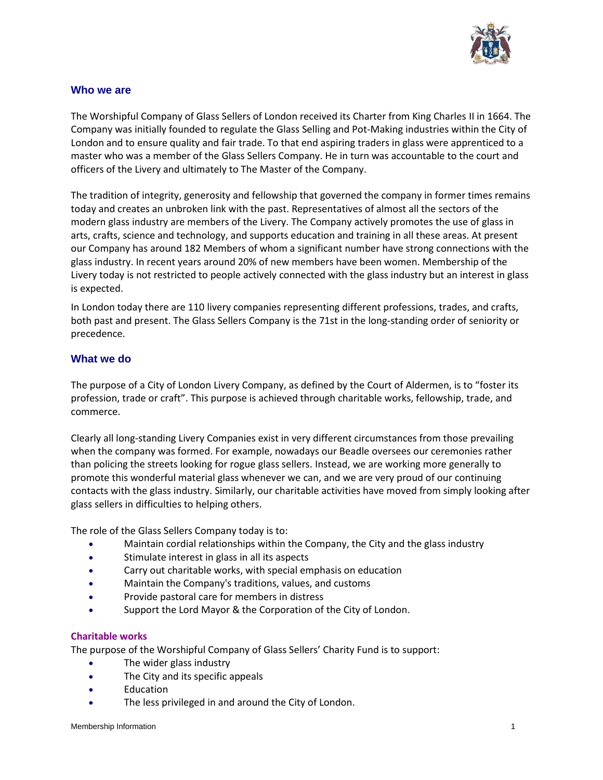

## **Who we are**

The Worshipful Company of Glass Sellers of London received its Charter from King Charles II in 1664. The Company was initially founded to regulate the Glass Selling and Pot-Making industries within the City of London and to ensure quality and fair trade. To that end aspiring traders in glass were apprenticed to a master who was a member of the Glass Sellers Company. He in turn was accountable to the court and officers of the Livery and ultimately to The Master of the Company.

The tradition of integrity, generosity and fellowship that governed the company in former times remains today and creates an unbroken link with the past. Representatives of almost all the sectors of the modern glass industry are members of the Livery. The Company actively promotes the use of glass in arts, crafts, science and technology, and supports education and training in all these areas. At present our Company has around 182 Members of whom a significant number have strong connections with the glass industry. In recent years around 20% of new members have been women. Membership of the Livery today is not restricted to people actively connected with the glass industry but an interest in glass is expected.

In London today there are 110 livery companies representing different professions, trades, and crafts, both past and present. The Glass Sellers Company is the 71st in the long-standing order of seniority or precedence.

## **What we do**

The purpose of a City of London Livery Company, as defined by the Court of Aldermen, is to "foster its profession, trade or craft". This purpose is achieved through charitable works, fellowship, trade, and commerce.

Clearly all long-standing Livery Companies exist in very different circumstances from those prevailing when the company was formed. For example, nowadays our Beadle oversees our ceremonies rather than policing the streets looking for rogue glass sellers. Instead, we are working more generally to promote this wonderful material glass whenever we can, and we are very proud of our continuing contacts with the glass industry. Similarly, our charitable activities have moved from simply looking after glass sellers in difficulties to helping others.

The role of the Glass Sellers Company today is to:

- Maintain cordial relationships within the Company, the City and the glass industry
- Stimulate interest in glass in all its aspects
- Carry out charitable works, with special emphasis on education
- Maintain the Company's traditions, values, and customs
- Provide pastoral care for members in distress
- Support the Lord Mayor & the Corporation of the City of London.

#### **Charitable works**

The purpose of the Worshipful Company of Glass Sellers' Charity Fund is to support:

- The wider glass industry
- The City and its specific appeals
- Education
- The less privileged in and around the City of London.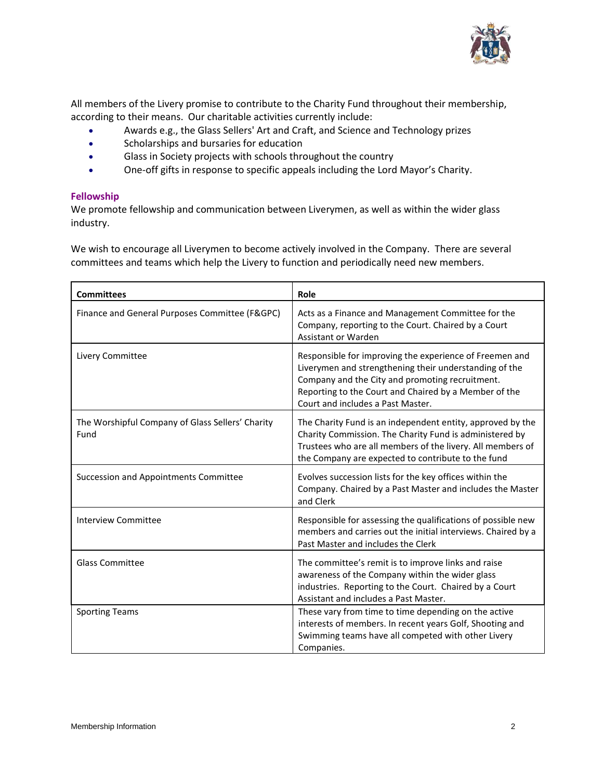

All members of the Livery promise to contribute to the Charity Fund throughout their membership, according to their means. Our charitable activities currently include:

- Awards e.g., the Glass Sellers' Art and Craft, and Science and Technology prizes
- Scholarships and bursaries for education
- Glass in Society projects with schools throughout the country
- One-off gifts in response to specific appeals including the Lord Mayor's Charity.

#### **Fellowship**

We promote fellowship and communication between Liverymen, as well as within the wider glass industry.

We wish to encourage all Liverymen to become actively involved in the Company. There are several committees and teams which help the Livery to function and periodically need new members.

| <b>Committees</b>                                        | Role                                                                                                                                                                                                                                                               |
|----------------------------------------------------------|--------------------------------------------------------------------------------------------------------------------------------------------------------------------------------------------------------------------------------------------------------------------|
| Finance and General Purposes Committee (F&GPC)           | Acts as a Finance and Management Committee for the<br>Company, reporting to the Court. Chaired by a Court<br>Assistant or Warden                                                                                                                                   |
| Livery Committee                                         | Responsible for improving the experience of Freemen and<br>Liverymen and strengthening their understanding of the<br>Company and the City and promoting recruitment.<br>Reporting to the Court and Chaired by a Member of the<br>Court and includes a Past Master. |
| The Worshipful Company of Glass Sellers' Charity<br>Fund | The Charity Fund is an independent entity, approved by the<br>Charity Commission. The Charity Fund is administered by<br>Trustees who are all members of the livery. All members of<br>the Company are expected to contribute to the fund                          |
| Succession and Appointments Committee                    | Evolves succession lists for the key offices within the<br>Company. Chaired by a Past Master and includes the Master<br>and Clerk                                                                                                                                  |
| Interview Committee                                      | Responsible for assessing the qualifications of possible new<br>members and carries out the initial interviews. Chaired by a<br>Past Master and includes the Clerk                                                                                                 |
| <b>Glass Committee</b>                                   | The committee's remit is to improve links and raise<br>awareness of the Company within the wider glass<br>industries. Reporting to the Court. Chaired by a Court<br>Assistant and includes a Past Master.                                                          |
| <b>Sporting Teams</b>                                    | These vary from time to time depending on the active<br>interests of members. In recent years Golf, Shooting and<br>Swimming teams have all competed with other Livery<br>Companies.                                                                               |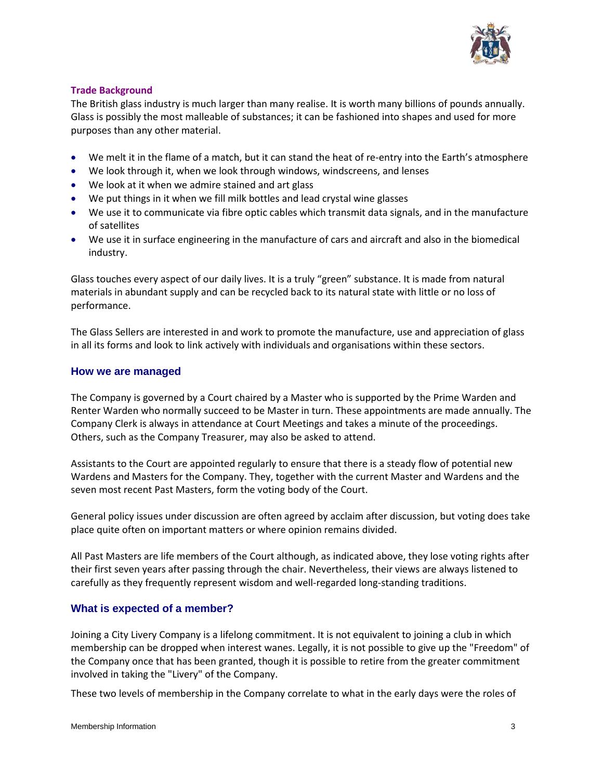

## **Trade Background**

The British glass industry is much larger than many realise. It is worth many billions of pounds annually. Glass is possibly the most malleable of substances; it can be fashioned into shapes and used for more purposes than any other material.

- We melt it in the flame of a match, but it can stand the heat of re-entry into the Earth's atmosphere
- We look through it, when we look through windows, windscreens, and lenses
- We look at it when we admire stained and art glass
- We put things in it when we fill milk bottles and lead crystal wine glasses
- We use it to communicate via fibre optic cables which transmit data signals, and in the manufacture of satellites
- We use it in surface engineering in the manufacture of cars and aircraft and also in the biomedical industry.

Glass touches every aspect of our daily lives. It is a truly "green" substance. It is made from natural materials in abundant supply and can be recycled back to its natural state with little or no loss of performance.

The Glass Sellers are interested in and work to promote the manufacture, use and appreciation of glass in all its forms and look to link actively with individuals and organisations within these sectors.

## **How we are managed**

The Company is governed by a Court chaired by a Master who is supported by the Prime Warden and Renter Warden who normally succeed to be Master in turn. These appointments are made annually. The Company Clerk is always in attendance at Court Meetings and takes a minute of the proceedings. Others, such as the Company Treasurer, may also be asked to attend.

Assistants to the Court are appointed regularly to ensure that there is a steady flow of potential new Wardens and Masters for the Company. They, together with the current Master and Wardens and the seven most recent Past Masters, form the voting body of the Court.

General policy issues under discussion are often agreed by acclaim after discussion, but voting does take place quite often on important matters or where opinion remains divided.

All Past Masters are life members of the Court although, as indicated above, they lose voting rights after their first seven years after passing through the chair. Nevertheless, their views are always listened to carefully as they frequently represent wisdom and well-regarded long-standing traditions.

# **What is expected of a member?**

Joining a City Livery Company is a lifelong commitment. It is not equivalent to joining a club in which membership can be dropped when interest wanes. Legally, it is not possible to give up the "Freedom" of the Company once that has been granted, though it is possible to retire from the greater commitment involved in taking the "Livery" of the Company.

These two levels of membership in the Company correlate to what in the early days were the roles of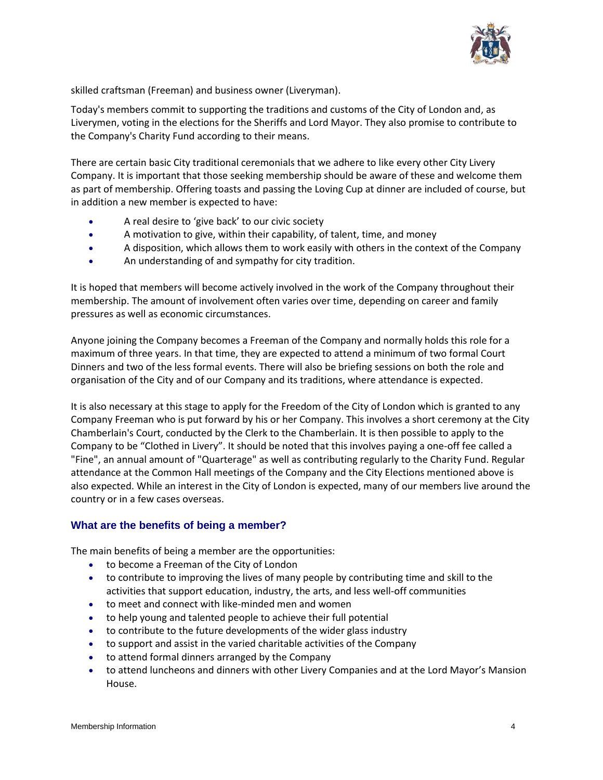

skilled craftsman (Freeman) and business owner (Liveryman).

Today's members commit to supporting the traditions and customs of the City of London and, as Liverymen, voting in the elections for the Sheriffs and Lord Mayor. They also promise to contribute to the Company's Charity Fund according to their means.

There are certain basic City traditional ceremonials that we adhere to like every other City Livery Company. It is important that those seeking membership should be aware of these and welcome them as part of membership. Offering toasts and passing the Loving Cup at dinner are included of course, but in addition a new member is expected to have:

- A real desire to 'give back' to our civic society
- A motivation to give, within their capability, of talent, time, and money
- A disposition, which allows them to work easily with others in the context of the Company
- An understanding of and sympathy for city tradition.

It is hoped that members will become actively involved in the work of the Company throughout their membership. The amount of involvement often varies over time, depending on career and family pressures as well as economic circumstances.

Anyone joining the Company becomes a Freeman of the Company and normally holds this role for a maximum of three years. In that time, they are expected to attend a minimum of two formal Court Dinners and two of the less formal events. There will also be briefing sessions on both the role and organisation of the City and of our Company and its traditions, where attendance is expected.

It is also necessary at this stage to apply for the Freedom of the City of London which is granted to any Company Freeman who is put forward by his or her Company. This involves a short ceremony at the City Chamberlain's Court, conducted by the Clerk to the Chamberlain. It is then possible to apply to the Company to be "Clothed in Livery". It should be noted that this involves paying a one-off fee called a "Fine", an annual amount of "Quarterage" as well as contributing regularly to the Charity Fund. Regular attendance at the Common Hall meetings of the Company and the City Elections mentioned above is also expected. While an interest in the City of London is expected, many of our members live around the country or in a few cases overseas.

# **What are the benefits of being a member?**

The main benefits of being a member are the opportunities:

- to become a Freeman of the City of London
- to contribute to improving the lives of many people by contributing time and skill to the activities that support education, industry, the arts, and less well-off communities
- to meet and connect with like-minded men and women
- to help young and talented people to achieve their full potential
- to contribute to the future developments of the wider glass industry
- to support and assist in the varied charitable activities of the Company
- to attend formal dinners arranged by the Company
- to attend luncheons and dinners with other Livery Companies and at the Lord Mayor's Mansion House.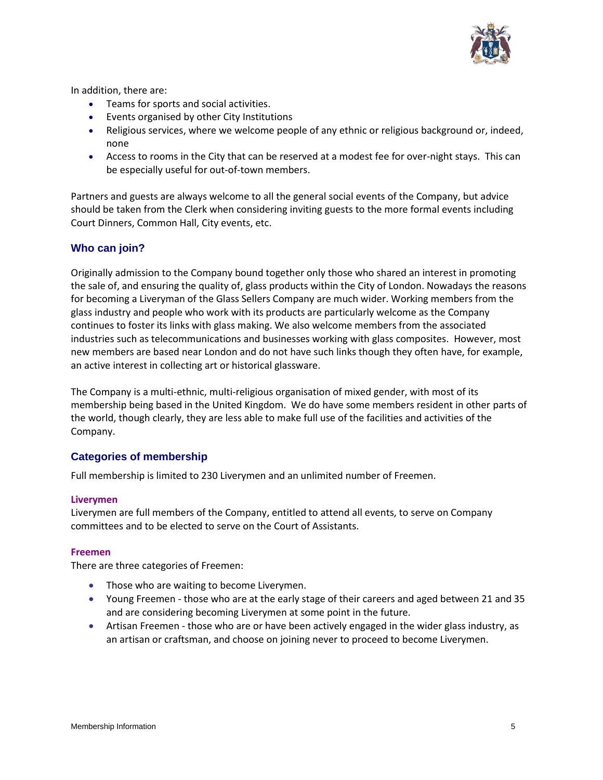

In addition, there are:

- Teams for sports and social activities.
- Events organised by other City Institutions
- Religious services, where we welcome people of any ethnic or religious background or, indeed, none
- Access to rooms in the City that can be reserved at a modest fee for over-night stays. This can be especially useful for out-of-town members.

Partners and guests are always welcome to all the general social events of the Company, but advice should be taken from the Clerk when considering inviting guests to the more formal events including Court Dinners, Common Hall, City events, etc.

## **Who can join?**

Originally admission to the Company bound together only those who shared an interest in promoting the sale of, and ensuring the quality of, glass products within the City of London. Nowadays the reasons for becoming a Liveryman of the Glass Sellers Company are much wider. Working members from the glass industry and people who work with its products are particularly welcome as the Company continues to foster its links with glass making. We also welcome members from the associated industries such as telecommunications and businesses working with glass composites. However, most new members are based near London and do not have such links though they often have, for example, an active interest in collecting art or historical glassware.

The Company is a multi-ethnic, multi-religious organisation of mixed gender, with most of its membership being based in the United Kingdom. We do have some members resident in other parts of the world, though clearly, they are less able to make full use of the facilities and activities of the Company.

## **Categories of membership**

Full membership is limited to 230 Liverymen and an unlimited number of Freemen.

#### **Liverymen**

Liverymen are full members of the Company, entitled to attend all events, to serve on Company committees and to be elected to serve on the Court of Assistants.

#### **Freemen**

There are three categories of Freemen:

- Those who are waiting to become Liverymen.
- Young Freemen those who are at the early stage of their careers and aged between 21 and 35 and are considering becoming Liverymen at some point in the future.
- Artisan Freemen those who are or have been actively engaged in the wider glass industry, as an artisan or craftsman, and choose on joining never to proceed to become Liverymen.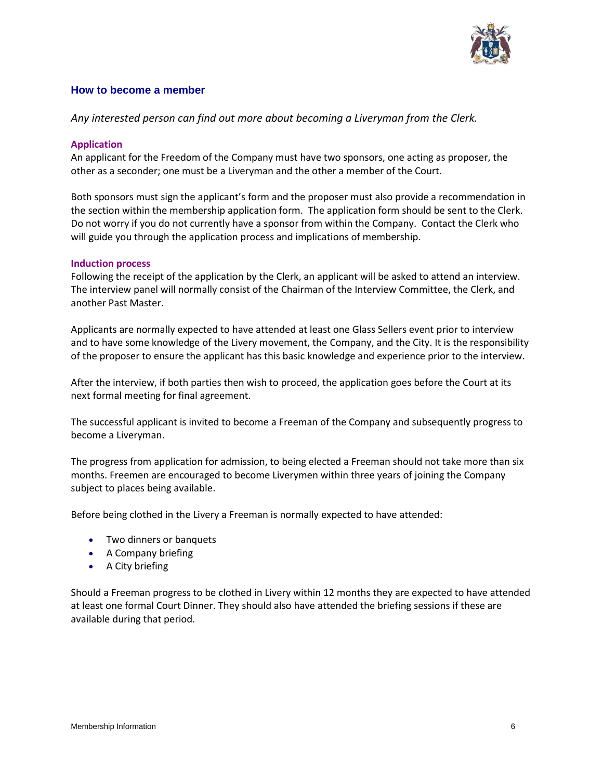

## **How to become a member**

*Any interested person can find out more about becoming a Liveryman from the Clerk.* 

## **Application**

An applicant for the Freedom of the Company must have two sponsors, one acting as proposer, the other as a seconder; one must be a Liveryman and the other a member of the Court.

Both sponsors must sign the applicant's form and the proposer must also provide a recommendation in the section within the membership application form. The application form should be sent to the Clerk. Do not worry if you do not currently have a sponsor from within the Company. Contact the Clerk who will guide you through the application process and implications of membership.

## **Induction process**

Following the receipt of the application by the Clerk, an applicant will be asked to attend an interview. The interview panel will normally consist of the Chairman of the Interview Committee, the Clerk, and another Past Master.

Applicants are normally expected to have attended at least one Glass Sellers event prior to interview and to have some knowledge of the Livery movement, the Company, and the City. It is the responsibility of the proposer to ensure the applicant has this basic knowledge and experience prior to the interview.

After the interview, if both parties then wish to proceed, the application goes before the Court at its next formal meeting for final agreement.

The successful applicant is invited to become a Freeman of the Company and subsequently progress to become a Liveryman.

The progress from application for admission, to being elected a Freeman should not take more than six months. Freemen are encouraged to become Liverymen within three years of joining the Company subject to places being available.

Before being clothed in the Livery a Freeman is normally expected to have attended:

- Two dinners or banquets
- A Company briefing
- A City briefing

Should a Freeman progress to be clothed in Livery within 12 months they are expected to have attended at least one formal Court Dinner. They should also have attended the briefing sessions if these are available during that period.